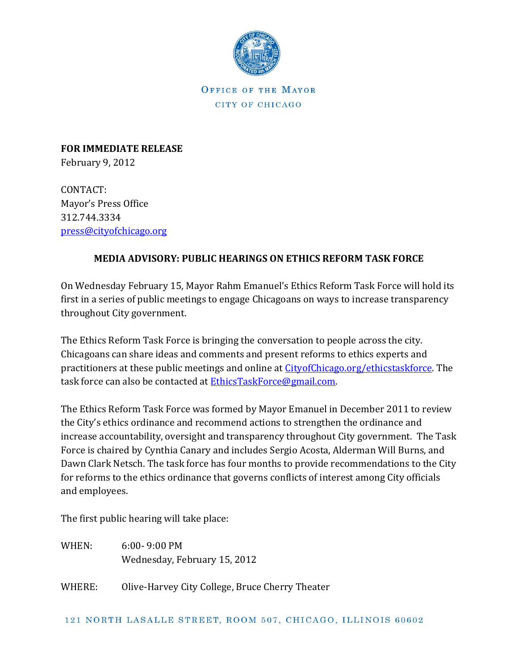

OFFICE OF THE MAYOR CITY OF CHICAGO

**FOR IMMEDIATE RELEASE** February 9, 2012

CONTACT: Mayor's Press Office 312.744.3334 [press@cityofchicago.org](mailto:press@cityofchicago.org)

## **MEDIA ADVISORY: PUBLIC HEARINGS ON ETHICS REFORM TASK FORCE**

On Wednesday February 15, Mayor Rahm Emanuel's Ethics Reform Task Force will hold its first in a series of public meetings to engage Chicagoans on ways to increase transparency throughout City government.

The Ethics Reform Task Force is bringing the conversation to people across the city. Chicagoans can share ideas and comments and present reforms to ethics experts and practitioners at these public meetings and online at [CityofChicago.org/ethicstaskforce.](https://webapps.cityofchicago.org/EthicsTaskForce/forums/list.page) The task force can also be contacted at [EthicsTaskForce@gmail.com.](mailto:EthicsTaskForce@gmail.com)

The Ethics Reform Task Force was formed by Mayor Emanuel in December 2011 to review the City's ethics ordinance and recommend actions to strengthen the ordinance and increase accountability, oversight and transparency throughout City government. The Task Force is chaired by Cynthia Canary and includes Sergio Acosta, Alderman Will Burns, and Dawn Clark Netsch. The task force has four months to provide recommendations to the City for reforms to the ethics ordinance that governs conflicts of interest among City officials and employees.

The first public hearing will take place:

WHEN: 6:00- 9:00 PM Wednesday, February 15, 2012

WHERE: Olive-Harvey City College, Bruce Cherry Theater